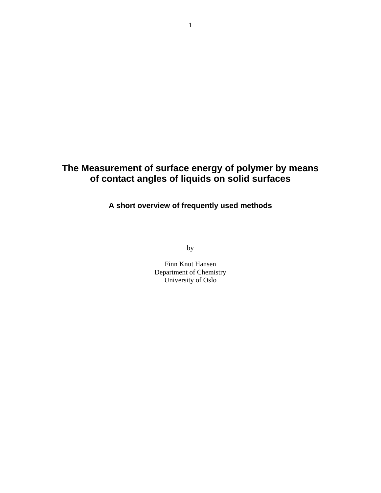# **The Measurement of surface energy of polymer by means of contact angles of liquids on solid surfaces**

**A short overview of frequently used methods** 

by

Finn Knut Hansen Department of Chemistry University of Oslo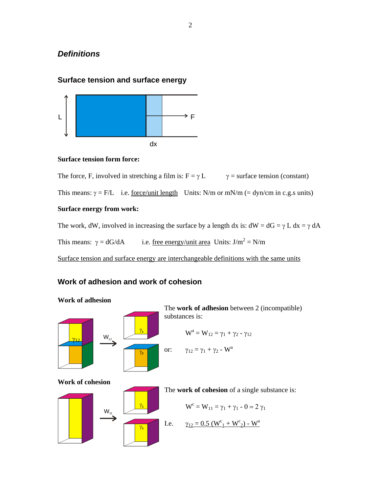# *Definitions*

## **Surface tension and surface energy**



#### **Surface tension form force:**

The force, F, involved in stretching a film is:  $F = \gamma L$   $\gamma =$  surface tension (constant)

This means:  $\gamma = F/L$  i.e. <u>force/unit length</u> Units: N/m or mN/m (= dyn/cm in c.g.s units)

### **Surface energy from work:**

The work, dW, involved in increasing the surface by a length dx is:  $dW = dG = \gamma L dx = \gamma dA$ 

This means:  $\gamma = dG/dA$  i.e. <u>free energy/unit area</u> Units:  $J/m^2 = N/m$ 

Surface tension and surface energy are interchangeable definitions with the same units

# **Work of adhesion and work of cohesion**



### **Work of adhesion**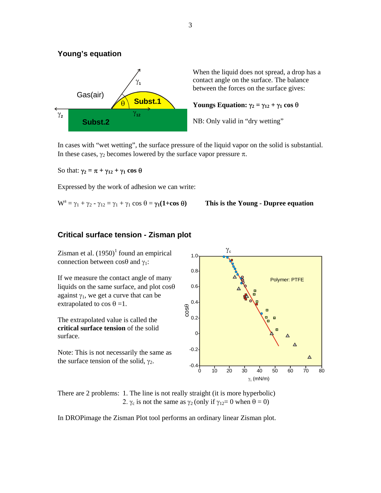### **Young's equation**



When the liquid does not spread, a drop has a contact angle on the surface. The balance between the forces on the surface gives:

#### **Youngs Equation:**  $γ_2 = γ_{12} + γ_1 \cos θ$

NB: Only valid in "dry wetting"

In cases with "wet wetting", the surface pressure of the liquid vapor on the solid is substantial. In these cases,  $γ<sub>2</sub>$  becomes lowered by the surface vapor pressure π.

So that:  $\gamma_2 = \pi + \gamma_{12} + \gamma_1 \cos \theta$ 

Expressed by the work of adhesion we can write:

$$
W^a = \gamma_1 + \gamma_2 - \gamma_{12} = \gamma_1 + \gamma_1 \cos \theta = \gamma_1 (1 + \cos \theta)
$$

#### **Filtherally - γ12 This is the Young - Dupree equation**

#### **Critical surface tension - Zisman plot**

Zisman et al.  $(1950)^1$  found an empirical connection between  $\cos\theta$  and  $\gamma_1$ :

If we measure the contact angle of many liquids on the same surface, and plot cosθ against  $\gamma_1$ , we get a curve that can be extrapolated to cos  $\theta = 1$ .

The extrapolated value is called the **critical surface tension** of the solid surface.

Note: This is not necessarily the same as the surface tension of the solid,  $\gamma_2$ .



There are 2 problems: 1. The line is not really straight (it is more hyperbolic) 2.  $\gamma_c$  is not the same as  $\gamma_2$  (only if  $\gamma_{12}=0$  when  $\theta=0$ )

In DROPimage the Zisman Plot tool performs an ordinary linear Zisman plot.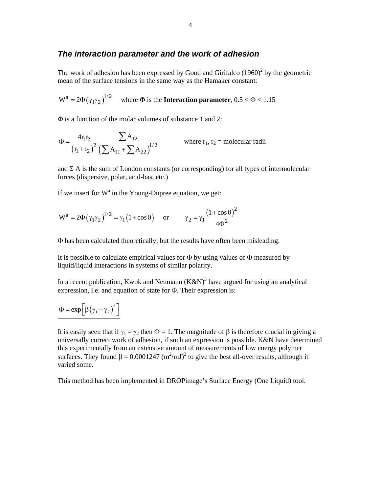### *The interaction parameter and the work of adhesion*

The work of adhesion has been expressed by Good and Girifalco  $(1960)^2$  by the geometric mean of the surface tensions in the same way as the Hamaker constant:

 $W^a = 2\Phi(\gamma_1\gamma_2)^{1/2}$  where  $\Phi$  is the **Interaction parameter**,  $0.5 < \Phi < 1.15$ 

Φ is a function of the molar volumes of substance 1 and 2:

$$
\Phi = \frac{4r_1r_2}{(r_1 + r_2)^2} \frac{\sum A_{12}}{(\sum A_{11} + \sum A_{22})^{1/2}}
$$
 where  $r_1, r_2$  = molecular radii

and  $\Sigma$  A is the sum of London constants (or corresponding) for all types of intermolecular forces (dispersive, polar, acid-bas, etc.)

If we insert for  $W^a$  in the Young-Dupree equation, we get:

$$
W^{a} = 2\Phi(\gamma_1 \gamma_2)^{1/2} = \gamma_1 (1 + \cos \theta) \quad \text{or} \quad \gamma_2 = \gamma_1 \frac{(1 + \cos \theta)^2}{4\Phi^2}
$$

Φ has been calculated theoretically, but the results have often been misleading.

It is possible to calculate empirical values for  $\Phi$  by using values of  $\Phi$  measured by liquid/liquid interactions in systems of similar polarity.

In a recent publication, Kwok and Neumann  $(K\&N)^3$  have argued for using an analytical expression, i.e. and equation of state for Φ. Their expression is:

$$
\Phi = \exp \left[ \beta (\gamma_1 - \gamma_2)^2 \right]
$$

It is easily seen that if  $\gamma_1 = \gamma_2$  then  $\Phi = 1$ . The magnitude of  $\beta$  is therefore crucial in giving a universally correct work of adhesion, if such an expression is possible. K&N have determined this experimentally from an extensive amount of measurements of low energy polymer surfaces. They found  $\beta = 0.0001247 \text{ (m}^2/\text{mJ})^2$  to give the best all-over results, although it varied some.

This method has been implemented in DROPimage's Surface Energy (One Liquid) tool.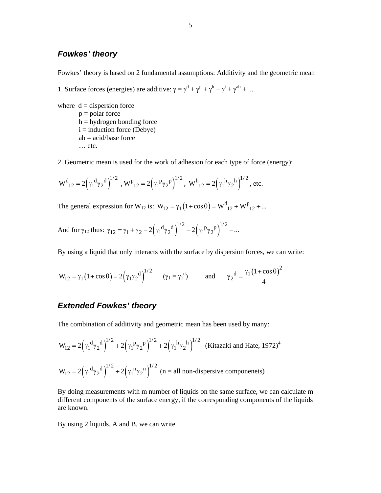## *Fowkes' theory*

Fowkes' theory is based on 2 fundamental assumptions: Additivity and the geometric mean

1. Surface forces (energies) are additive:  $\gamma = \gamma^d + \gamma^p + \gamma^h + \gamma^i + \gamma^{ab} + ...$ 

where  $d =$  dispersion force  $p = polar force$  $h =$  hydrogen bonding force  $i =$  induction force (Debye)  $ab = acid/b$ ase force … etc.

2. Geometric mean is used for the work of adhesion for each type of force (energy):

$$
W^d{}_{12} = 2\Big(\gamma_1{}^d\gamma_2{}^d\Big)^{l/2} \ \ , \\ W^p{}_{12} = 2\Big(\gamma_1{}^p\gamma_2{}^p\Big)^{l/2} \ , \ \ W^h{}_{12} = 2\Big(\gamma_1{}^h\gamma_2{}^h\Big)^{l/2} \ , \ etc.
$$

The general expression for W<sub>12</sub> is:  $W_{12} = \gamma_1 (1 + \cos \theta) = W_{12}^d + W_{12}^p + ...$ 

And for 
$$
\gamma_{12}
$$
 thus:  $\gamma_{12} = \gamma_1 + \gamma_2 - 2(\gamma_1^d \gamma_2^d)^{1/2} - 2(\gamma_1^p \gamma_2^p)^{1/2} - ...$ 

By using a liquid that only interacts with the surface by dispersion forces, we can write:

$$
W_{12} = \gamma_1 (1 + \cos \theta) = 2(\gamma_1 \gamma_2^d)^{1/2} \qquad (\gamma_1 = \gamma_1^d) \qquad \text{and} \qquad \gamma_2^d = \frac{\gamma_1 (1 + \cos \theta)^2}{4}
$$

### *Extended Fowkes' theory*

The combination of additivity and geometric mean has been used by many:

$$
W_{12} = 2(\gamma_1^d \gamma_2^d)^{1/2} + 2(\gamma_1^p \gamma_2^p)^{1/2} + 2(\gamma_1^h \gamma_2^h)^{1/2}
$$
 (Kitazaki and Hate, 1972)<sup>4</sup>  

$$
W_{12} = 2(\gamma_1^d \gamma_2^d)^{1/2} + 2(\gamma_1^h \gamma_2^h)^{1/2}
$$
 (n = all non-dispersive components)

By doing measurements with m number of liquids on the same surface, we can calculate m different components of the surface energy, if the corresponding components of the liquids are known.

By using 2 liquids, A and B, we can write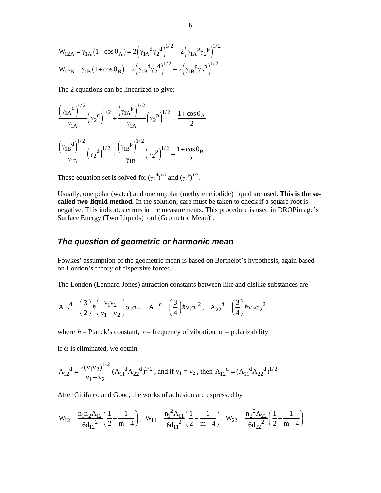$$
W_{12A} = \gamma_{1A} (1 + \cos \theta_A) = 2(\gamma_{1A}^d \gamma_2^d)^{1/2} + 2(\gamma_{1A}^p \gamma_2^p)^{1/2}
$$
  

$$
W_{12B} = \gamma_{1B} (1 + \cos \theta_B) = 2(\gamma_{1B}^d \gamma_2^d)^{1/2} + 2(\gamma_{1B}^p \gamma_2^p)^{1/2}
$$

The 2 equations can be linearized to give:

$$
\frac{(\gamma_{1A}^{\text{d}})^{1/2}}{\gamma_{1A}} (\gamma_2^{\text{d}})^{1/2} + \frac{(\gamma_{1A}^{\text{p}})^{1/2}}{\gamma_{1A}} (\gamma_2^{\text{p}})^{1/2} = \frac{1 + \cos \theta_A}{2}
$$

$$
\frac{(\gamma_{1B}^{\text{d}})^{1/2}}{\gamma_{1B}} (\gamma_2^{\text{d}})^{1/2} + \frac{(\gamma_{1B}^{\text{p}})^{1/2}}{\gamma_{1B}} (\gamma_2^{\text{p}})^{1/2} = \frac{1 + \cos \theta_B}{2}
$$

These equation set is solved for  $(\gamma_2^{\text{d}})^{1/2}$  and  $(\gamma_2^{\text{p}})^{1/2}$ .

Usually, one polar (water) and one unpolar (methylene iodide) liquid are used. **This is the socalled two-liquid method.** In the solution, care must be taken to check if a square root is negative. This indicates errors in the measurements. This procedure is used in DROPimage's Surface Energy (Two Liquids) tool (Geometric Mean)<sup>5</sup>.

### *The question of geometric or harmonic mean*

Fowkes' assumption of the geometric mean is based on Berthelot's hypothesis, again based on London's theory of dispersive forces.

The London (Lennard-Jones) attraction constants between like and dislike substances are

$$
A_{12}^d = \left(\frac{3}{2}\right) \hbar \left(\frac{v_1 v_2}{v_1 + v_2}\right) \alpha_1 \alpha_2, \quad A_{11}^d = \left(\frac{3}{4}\right) \hbar v_1 \alpha_1^2, \quad A_{22}^d = \left(\frac{3}{4}\right) \hbar v_2 \alpha_2^2
$$

where  $\hbar$  = Planck's constant,  $v$  = frequency of vibration,  $\alpha$  = polarizability

If  $\alpha$  is eliminated, we obtain

$$
A_{12}^{\text{d}} = \frac{2(v_1v_2)^{1/2}}{v_1 + v_2} (A_{11}^{\text{d}} A_{22}^{\text{d}})^{1/2}
$$
, and if  $v_1 = v_2$ , then  $A_{12}^{\text{d}} = (A_{11}^{\text{d}} A_{22}^{\text{d}})^{1/2}$ 

After Girifalco and Good, the works of adhesion are expressed by

$$
W_{12}=\frac{n_1n_2A_{12}}{6d_{12}^2}\bigg(\frac{1}{2}-\frac{1}{m-4}\bigg),\ \ W_{11}=\frac{n_1^2A_{11}}{6d_{11}^2}\bigg(\frac{1}{2}-\frac{1}{m-4}\bigg),\ \ W_{22}=\frac{n_2^2A_{22}}{6d_{22}^2}\bigg(\frac{1}{2}-\frac{1}{m-4}\bigg)
$$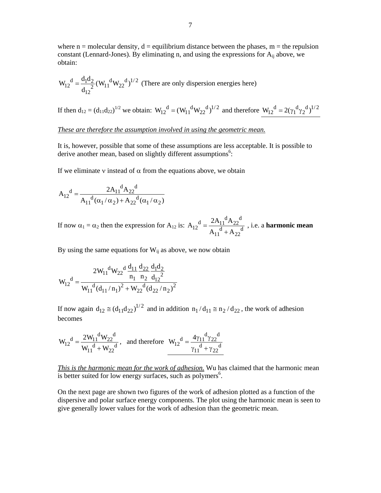where  $n =$  molecular density,  $d =$  equilibrium distance between the phases,  $m =$  the repulsion constant (Lennard-Jones). By eliminating n, and using the expressions for  $A_{ii}$  above, we obtain:

$$
W_{12}^d = \frac{d_1 d_2}{d_{12}^2} (W_{11}^d W_{22}^d)^{1/2}
$$
 (There are only dispersion energies here)

If then  $d_{12} = (d_{11}d_{22})^{1/2}$  we obtain:  $W_{12}^d = (W_{11}^d W_{22}^d)^{1/2}$  and therefore  $W_{12}^d = 2(\gamma_1^d \gamma_2^d)^{1/2}$ 

*These are therefore the assumption involved in using the geometric mean.*

It is, however, possible that some of these assumptions are less acceptable. It is possible to derive another mean, based on slightly different assumptions<sup>6</sup>:

If we eliminate v instead of  $\alpha$  from the equations above, we obtain

$$
A_{12}^{d} = \frac{2A_{11}^{d}A_{22}^{d}}{A_{11}^{d}(\alpha_1/\alpha_2) + A_{22}^{d}(\alpha_1/\alpha_2)}
$$

If now  $\alpha_1 = \alpha_2$  then the expression for  $A_{12}$  is:  $d = 2A_{11}^{\text{d}}A_{22}^{\text{d}}$  $12 = \frac{12}{\lambda} \frac{d}{d} \frac{d}{d}$  $11 + A_{22}$  $A_{12}^{\text{d}} = \frac{2A_{11}^{\text{d}}A}{4}$  $=\frac{24\Pi \left( \frac{1}{2} + A_{22} \right)}{A_{11}^4 + A_{22}^4}$ , i.e. a **harmonic mean** 

By using the same equations for  $W_{ij}$  as above, we now obtain

$$
W_{12}^{\text{d}} = \frac{2W_{11}^{\text{d}}W_{22}^{\text{d}}\frac{d_{11}}{n_1}\frac{d_{22}}{n_2}\frac{d_1d_2}{d_1^2}}{W_{11}^{\text{d}}(d_{11}/n_1)^2 + W_{22}^{\text{d}}(d_{22}/n_2)^2}
$$

If now again  $d_{12} \equiv (d_{11}d_{22})^{1/2}$  and in addition  $n_1/d_{11} \equiv n_2/d_{22}$ , the work of adhesion becomes

$$
W_{12}^{\text{d}} = \frac{2W_{11}^{\text{d}}W_{22}^{\text{d}}}{W_{11}^{\text{d}} + W_{22}^{\text{d}}}, \text{ and therefore } W_{12}^{\text{d}} = \frac{4\gamma_{11}^{\text{d}}\gamma_{22}^{\text{d}}}{\gamma_{11}^{\text{d}} + \gamma_{22}^{\text{d}}}
$$

*This is the harmonic mean for the work of adhesion.* Wu has claimed that the harmonic mean is better suited for low energy surfaces, such as polymers<sup>6</sup>.

On the next page are shown two figures of the work of adhesion plotted as a function of the dispersive and polar surface energy components. The plot using the harmonic mean is seen to give generally lower values for the work of adhesion than the geometric mean.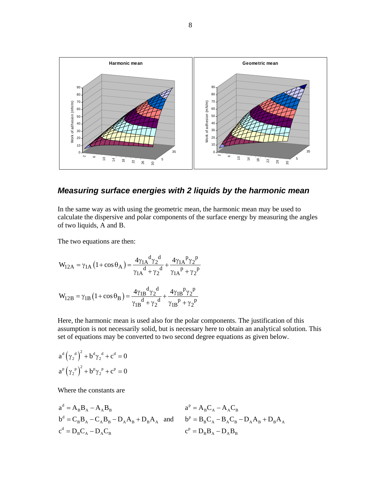

*Measuring surface energies with 2 liquids by the harmonic mean* 

In the same way as with using the geometric mean, the harmonic mean may be used to calculate the dispersive and polar components of the surface energy by measuring the angles of two liquids, A and B.

The two equations are then:

$$
W_{12A} = \gamma_{1A} (1 + \cos \theta_A) = \frac{4 \gamma_{1A}^d \gamma_2^d}{\gamma_{1A}^d + \gamma_2^d} + \frac{4 \gamma_{1A}^p \gamma_2^p}{\gamma_{1A}^p + \gamma_2^p}
$$
  

$$
W_{12B} = \gamma_{1B} (1 + \cos \theta_B) = \frac{4 \gamma_{1B}^d \gamma_2^d}{\gamma_{1B}^d + \gamma_2^d} + \frac{4 \gamma_{1B}^p \gamma_2^p}{\gamma_{1B}^p + \gamma_2^p}
$$

Here, the harmonic mean is used also for the polar components. The justification of this assumption is not necessarily solid, but is necessary here to obtain an analytical solution. This set of equations may be converted to two second degree equations as given below.

$$
a^{d} (\gamma_2^{d})^2 + b^{d} \gamma_2^{d} + c^{d} = 0
$$
  

$$
a^{p} (\gamma_2^{p})^2 + b^{p} \gamma_2^{p} + c^{p} = 0
$$

Where the constants are

$$
a^{d} = A_{B}B_{A} - A_{A}B_{B}
$$
  
\n
$$
a^{p} = A_{B}C_{A} - A_{A}C_{B}
$$
  
\n
$$
b^{d} = C_{B}B_{A} - C_{A}B_{B} - D_{A}A_{B} + D_{B}A_{A}
$$
 and 
$$
b^{p} = B_{B}C_{A} - B_{A}C_{B} - D_{A}A_{B} + D_{B}A_{A}
$$
  
\n
$$
c^{p} = D_{B}B_{A} - D_{A}B_{B}
$$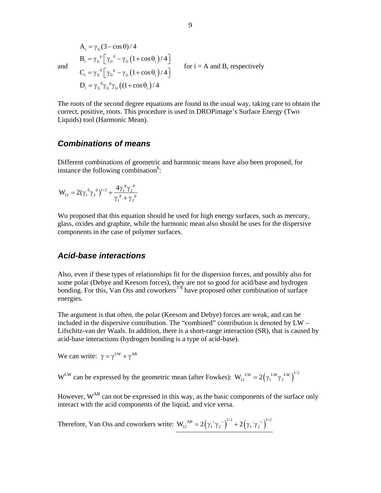$B_i = \gamma_{1i}^P \left[ \gamma_{1i}^d - \gamma_{1i} \left( 1 + \cos \theta_i \right) / 4 \right]$  $C_i = \gamma_{1i}^d \left[ \gamma_{1i}^p - \gamma_{1i} \left( 1 + \cos \theta_i \right) / 4 \right]$  $D_i = \gamma_{1i}^d \gamma_{1i}^p \gamma_{1i} (1 + \cos \theta_i)/4$  $A_i = \gamma_{1i} (3 - \cos \theta) / 4$ for  $i = A$  and B, respectively

The roots of the second degree equations are found in the usual way, taking care to obtain the correct, positive, roots. This procedure is used in DROPimage's Surface Energy (Two Liquids) tool (Harmonic Mean).

#### *Combinations of means*

and

Different combinations of geometric and harmonic means have also been proposed, for instance the following combination $6$ :

$$
W_{12}=2({\gamma_1}^d{\gamma_2}^d)^{1/2}+\frac{4{\gamma_1}^p{\gamma_2}^p}{\gamma_1^{\ p}+{\gamma_2}^p}
$$

Wu proposed that this equation should be used for high energy surfaces, such as mercury, glass, oxides and graphite, while the harmonic mean also should be uses for the dispersive components in the case of polymer surfaces.

#### *Acid-base interactions*

Also, even if these types of relationships fit for the dispersion forces, and possibly also for some polar (Debye and Keesom forces), they are not so good for acid/base and hydrogen bonding. For this, Van Oss and coworkers<sup>7-9</sup> have proposed other combination of surface energies.

The argument is that often, the polar (Keesom and Debye) forces are weak, and can be included in the dispersive contribution. The "combined" contribution is denoted by LW – Lifschitz-van der Waals. In addition, there is a short-range interaction (SR), that is caused by acid-base interactions (hydrogen bonding is a type of acid-base).

We can write:  $\gamma = \gamma^{\text{LW}} + \gamma^{\text{AB}}$ 

W<sup>LW</sup> can be expressed by the geometric mean (after Fowkes):  $W_{12}^{LW} = 2(\gamma_1^{LW} \gamma_2^{LW})^{1/2}$ 

However,  $W^{AB}$  can not be expressed in this way, as the basic components of the surface only interact with the acid components of the liquid, and vice versa.

Therefore, Van Oss and coworkers write:  $W_{12}^{AB} = 2(\gamma_1^{\ \ +}\gamma_2^{\ \ -})^{1/2} + 2(\gamma_1^{\ \ -}\gamma_2^{\ \ +})^{1/2}$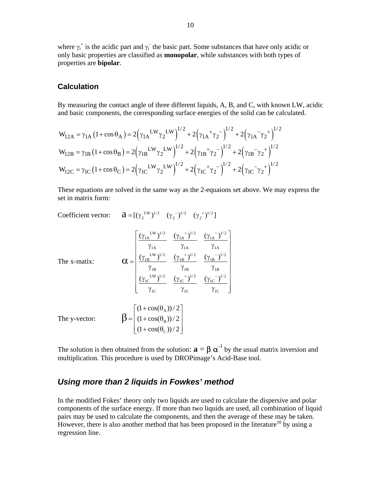where  $\gamma_i^+$  is the acidic part and  $\gamma_i^-$  the basic part. Some substances that have only acidic or only basic properties are classified as **monopolar**, while substances with both types of properties are **bipolar**.

#### **Calculation**

By measuring the contact angle of three different liquids, A, B, and C, with known LW, acidic and basic components, the corresponding surface energies of the solid can be calculated.

$$
W_{12A} = \gamma_{1A} (1 + \cos \theta_A) = 2(\gamma_{1A}^{LW} \gamma_2^{LW})^{1/2} + 2(\gamma_{1A}^{2} + \gamma_2^{2})^{1/2} + 2(\gamma_{1A}^{2} + \gamma_2^{2})^{1/2}
$$
  
\n
$$
W_{12B} = \gamma_{1B} (1 + \cos \theta_B) = 2(\gamma_{1B}^{LW} \gamma_2^{LW})^{1/2} + 2(\gamma_{1B}^{2} + \gamma_2^{2})^{1/2} + 2(\gamma_{1B}^{2} + \gamma_2^{2})^{1/2}
$$
  
\n
$$
W_{12C} = \gamma_{1C} (1 + \cos \theta_C) = 2(\gamma_{1C}^{LW} \gamma_2^{LW})^{1/2} + 2(\gamma_{1C}^{2} + \gamma_2^{2})^{1/2} + 2(\gamma_{1C}^{2} + \gamma_2^{2})^{1/2}
$$

These equations are solved in the same way as the 2-equaions set above. We may express the set in matrix form:

Coefficient vector:  $\mathbf{a} = [(\gamma_2^{\text{LW}})^{1/2} \quad (\gamma_2^{-})^{1/2} \quad (\gamma_2^{+})^{1/2}]$ 

$$
\mathbf{C} = \begin{bmatrix}\n\frac{(\gamma_{1A}^{LW})^{1/2}}{\gamma_{1A}} & \frac{(\gamma_{1A}^{2})^{1/2}}{\gamma_{1A}} & \frac{(\gamma_{1A}^{-1})^{1/2}}{\gamma_{1A}} \\
\frac{(\gamma_{1B}^{LW})^{1/2}}{\gamma_{1B}} & \frac{(\gamma_{1B}^{2})^{1/2}}{\gamma_{1B}} & \frac{(\gamma_{1B}^{-1})^{1/2}}{\gamma_{1B}} \\
\frac{(\gamma_{1C}^{LW})^{1/2}}{\gamma_{1C}} & \frac{(\gamma_{1C}^{2})^{1/2}}{\gamma_{1C}} & \frac{(\gamma_{1C}^{-1})^{1/2}}{\gamma_{1C}}\n\end{bmatrix}
$$
\n
$$
\mathbf{D} = \begin{bmatrix}\n(1 + \cos(\theta_{A})) / 2 \\
(1 + \cos(\theta_{B})) / 2 \\
(1 + \cos(\theta_{C})) / 2\n\end{bmatrix}
$$

The solution is then obtained from the solution:  $\mathbf{a} = \mathbf{\beta} \alpha^{-1}$  by the usual matrix inversion and multiplication. This procedure is used by DROPimage's Acid-Base tool.

#### *Using more than 2 liquids in Fowkes' method*

In the modified Fokes' theory only two liquids are used to calculate the dispersive and polar components of the surface energy. If more than two liquids are used, all combination of liquid pairs may be used to calculate the components, and then the average of these may be taken. However, there is also another method that has been proposed in the literature<sup>10</sup> by using a regression line.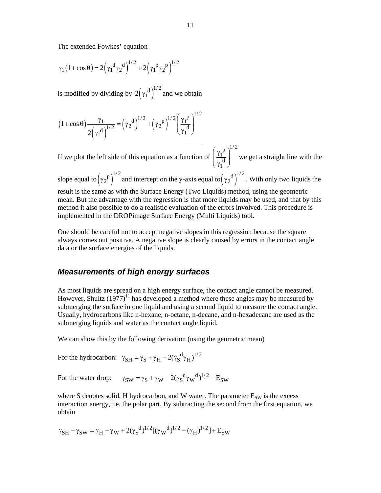The extended Fowkes' equation

$$
\gamma_1 (1 + \cos \theta) = 2 (\gamma_1^d \gamma_2^d)^{1/2} + 2 (\gamma_1^p \gamma_2^p)^{1/2}
$$

is modified by dividing by  $2(\gamma_1^d)^{1/2}$  and we obtain

$$
(1+\cos\theta)\frac{\gamma_1}{2(\gamma_1^d)^{1/2}} = (\gamma_2^d)^{1/2} + (\gamma_2^p)^{1/2} \left(\frac{\gamma_1^p}{\gamma_1^d}\right)^{1/2}
$$

If we plot the left side of this equation as a function of  $p \setminus^{1/2}$ 1 d 1  $\left(\gamma_{1}^{p}\right)$  $\left(\frac{t_1}{\gamma_1^d}\right)$  we get a straight line with the slope equal to  $(\gamma_2^p)^{1/2}$  and intercept on the y-axis equal to  $(\gamma_2^d)^{1/2}$ . With only two liquids the result is the same as with the Surface Energy (Two Liquids) method, using the geometric mean. But the advantage with the regression is that more liquids may be used, and that by this method it also possible to do a realistic evaluation of the errors involved. This procedure is implemented in the DROPimage Surface Energy (Multi Liquids) tool.

One should be careful not to accept negative slopes in this regression because the square always comes out positive. A negative slope is clearly caused by errors in the contact angle data or the surface energies of the liquids.

#### *Measurements of high energy surfaces*

As most liquids are spread on a high energy surface, the contact angle cannot be measured. However, Shultz  $(1977)^{11}$  has developed a method where these angles may be measured by submerging the surface in one liquid and using a second liquid to measure the contact angle. Usually, hydrocarbons like n-hexane, n-octane, n-decane, and n-hexadecane are used as the submerging liquids and water as the contact angle liquid.

We can show this by the following derivation (using the geometric mean)

For the hydrocarbon:  $\gamma_{\text{SH}} = \gamma_{\text{S}} + \gamma_{\text{H}} - 2(\gamma_{\text{S}}^{\text{d}} \gamma_{\text{H}})^{1/2}$ 

For the water drop:  $\gamma_{SW} = \gamma_S + \gamma_W - 2(\gamma_S^d \gamma_W^d)^{1/2} - E_{SW}$ 

where S denotes solid, H hydrocarbon, and W water. The parameter  $E_{SW}$  is the excess interaction energy, i.e. the polar part. By subtracting the second from the first equation, we obtain

$$
\gamma_{SH} - \gamma_{SW} = \gamma_H - \gamma_W + 2(\gamma_S^d)^{1/2} [(\gamma_W^d)^{1/2} - (\gamma_H)^{1/2}] + E_{SW}
$$